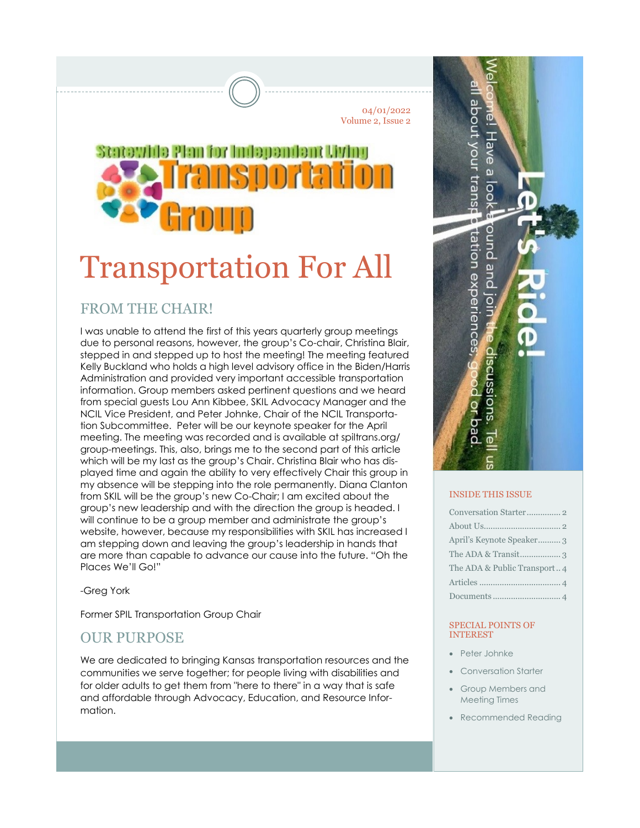04/01/2022 Volume 2, Issue 2

# Statewide Plan for Independent Living ransoortation

## Transportation For All

## FROM THE CHAIR!

I was unable to attend the first of this years quarterly group meetings due to personal reasons, however, the group's Co-chair, Christina Blair, stepped in and stepped up to host the meeting! The meeting featured Kelly Buckland who holds a high level advisory office in the Biden/Harris Administration and provided very important accessible transportation information. Group members asked pertinent questions and we heard from special guests Lou Ann Kibbee, SKIL Advocacy Manager and the NCIL Vice President, and Peter Johnke, Chair of the NCIL Transportation Subcommittee. Peter will be our keynote speaker for the April meeting. The meeting was recorded and is available at spiltrans.org/ group-meetings. This, also, brings me to the second part of this article which will be my last as the group's Chair. Christina Blair who has displayed time and again the ability to very effectively Chair this group in my absence will be stepping into the role permanently. Diana Clanton from SKIL will be the group's new Co-Chair; I am excited about the group's new leadership and with the direction the group is headed. I will continue to be a group member and administrate the group's website, however, because my responsibilities with SKIL has increased I am stepping down and leaving the group's leadership in hands that are more than capable to advance our cause into the future. "Oh the Places We'll Go!"

-Greg York

Former SPIL Transportation Group Chair

## OUR PURPOSE

We are dedicated to bringing Kansas transportation resources and the communities we serve together; for people living with disabilities and for older adults to get them from "here to there" in a way that is safe and affordable through Advocacy, Education, and Resource Information.



#### INSIDE THIS ISSUE

| April's Keynote Speaker 3   |
|-----------------------------|
|                             |
| The ADA & Public Transport4 |
|                             |
|                             |

#### SPECIAL POINTS OF INTEREST

- Peter Johnke
- Conversation Starter
- Group Members and Meeting Times
- Recommended Reading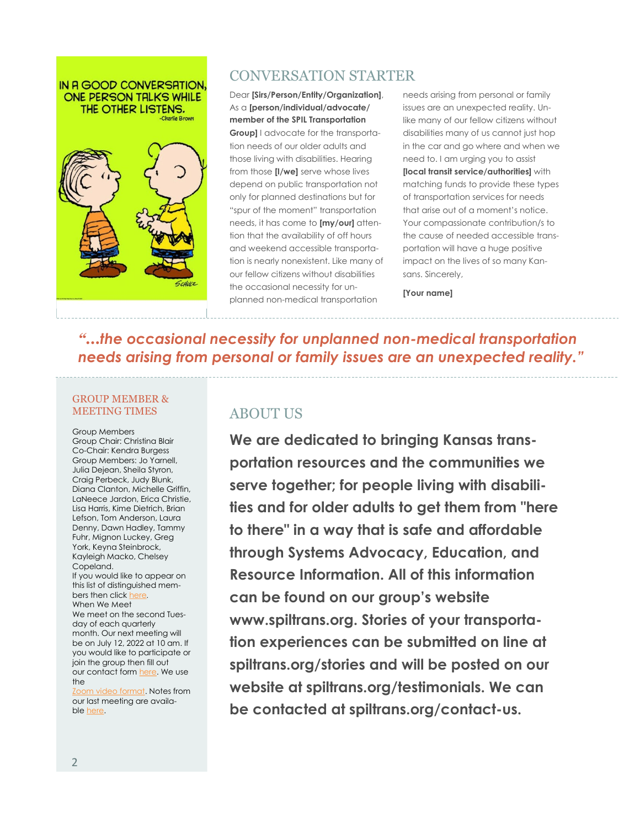#### IN A GOOD CONVERSATION. ONE PERSON TALKS WHILE THE OTHER LISTENS.



## CONVERSATION STARTER

Dear **[Sirs/Person/Entity/Organization]**, As a **[person/individual/advocate/ member of the SPIL Transportation Group]** I advocate for the transportation needs of our older adults and those living with disabilities. Hearing from those **[I/we]** serve whose lives depend on public transportation not only for planned destinations but for "spur of the moment" transportation needs, it has come to **[my/our]** attention that the availability of off hours and weekend accessible transportation is nearly nonexistent. Like many of our fellow citizens without disabilities the occasional necessity for unplanned non-medical transportation

needs arising from personal or family issues are an unexpected reality. Unlike many of our fellow citizens without disabilities many of us cannot just hop in the car and go where and when we need to. I am urging you to assist **[local transit service/authorities]** with matching funds to provide these types of transportation services for needs that arise out of a moment's notice. Your compassionate contribution/s to the cause of needed accessible transportation will have a huge positive impact on the lives of so many Kansans. Sincerely,

**[Your name]**

*"...the occasional necessity for unplanned non-medical transportation needs arising from personal or family issues are an unexpected reality."*

#### GROUP MEMBER & MEETING TIMES

Group Members [Group Chair: Christina Blair](mailto:spiltrans@gmail.com?subject=Greetings) Co-Chair: Kendra Burgess Group Members: Jo Yarnell, Julia Dejean, Sheila Styron, Craig Perbeck, Judy Blunk, Diana Clanton, Michelle Griffin, LaNeece Jardon, Erica Christie, Lisa Harris, Kime Dietrich, Brian Lefson, Tom Anderson, Laura Denny, Dawn Hadley, Tammy Fuhr, Mignon Luckey, Greg York, Keyna Steinbrock, Kayleigh Macko, Chelsey Copeland. If you would like to appear on this list of distinguished members then click [here](https://www.spiltrans.org/contact-us). When We Meet We meet on the second Tuesday of each quarterly month. Our next meeting will be on July 12, 2022 at 10 am. If

you would like to participate or join the group then fill out our contact form [here.](https://www.spiltrans.org/contact-us) We use the

[Zoom video format.](https://us04web.zoom.us/) Notes from our last meeting are available [here.](https://www.spiltrans.org/_files/ugd/b78091_d51df84f75c9486ba72e0769e54395ef.pdf)

## ABOUT US

**We are dedicated to bringing Kansas transportation resources and the communities we serve together; for people living with disabilities and for older adults to get them from "here to there" in a way that is safe and affordable through Systems Advocacy, Education, and Resource Information. All of this information can be found on our group's website www.spiltrans.org. Stories of your transportation experiences can be submitted on line at spiltrans.org/stories and will be posted on our website at spiltrans.org/testimonials. We can be contacted at spiltrans.org/contact-us.**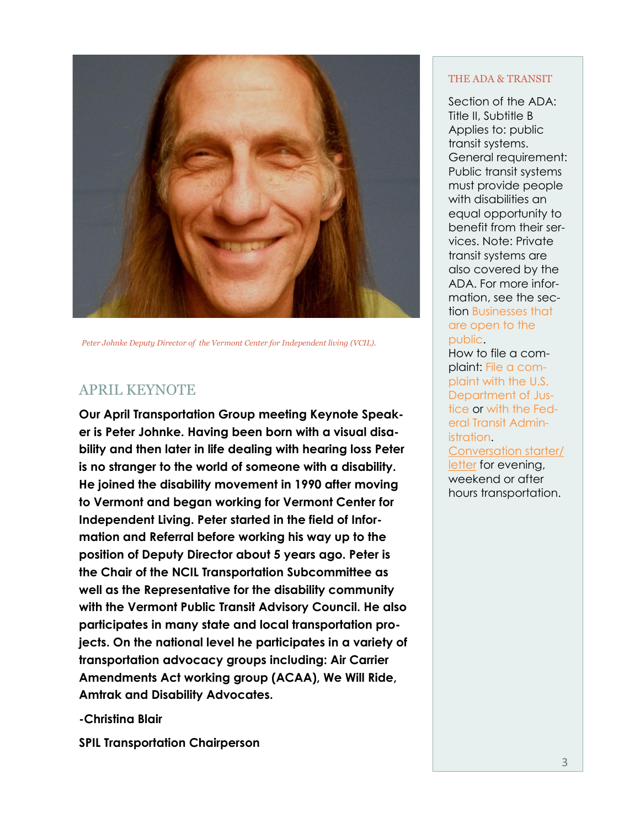

*Peter Johnke Deputy Director of the Vermont Center for Independent living (VCIL).*

### APRIL KEYNOTE

**Our April Transportation Group meeting Keynote Speaker is Peter Johnke. Having been born with a visual disability and then later in life dealing with hearing loss Peter is no stranger to the world of someone with a disability. He joined the disability movement in 1990 after moving to Vermont and began working for Vermont Center for Independent Living. Peter started in the field of Information and Referral before working his way up to the position of Deputy Director about 5 years ago. Peter is the Chair of the NCIL Transportation Subcommittee as well as the Representative for the disability community with the Vermont Public Transit Advisory Council. He also participates in many state and local transportation projects. On the national level he participates in a variety of transportation advocacy groups including: Air Carrier Amendments Act working group (ACAA), We Will Ride, Amtrak and Disability Advocates.**

**-Christina Blair**

**SPIL Transportation Chairperson**

#### THE ADA & TRANSIT

Section of the ADA: Title II, Subtitle B Applies to: public transit systems. General requirement: Public transit systems must provide people with disabilities an equal opportunity to benefit from their services. Note: Private transit systems are also covered by the ADA. For more information, see the section [Businesses that](https://beta.ada.gov/topics/intro-to-ada/#businesses-that-are-open-to-the-public)  [are open to the](https://beta.ada.gov/topics/intro-to-ada/#businesses-that-are-open-to-the-public)  [public.](https://beta.ada.gov/topics/intro-to-ada/#businesses-that-are-open-to-the-public)

How to file a complaint: [File a com](https://www.ada.gov/filing_complaint.htm)[plaint with the U.S.](https://www.ada.gov/filing_complaint.htm)  [Department of Jus](https://www.ada.gov/filing_complaint.htm)[tice](https://www.ada.gov/filing_complaint.htm) or [with the Fed](https://www.transit.dot.gov/regulations-and-guidance/civil-rights-ada/file-complaint-fta)[eral Transit Admin](https://www.transit.dot.gov/regulations-and-guidance/civil-rights-ada/file-complaint-fta)[istration.](https://www.transit.dot.gov/regulations-and-guidance/civil-rights-ada/file-complaint-fta)

[Conversation starter/](https://www.spiltrans.org/_files/ugd/b78091_18c513e7977f41da999975cb823d6152.pdf) [letter](https://www.spiltrans.org/_files/ugd/b78091_18c513e7977f41da999975cb823d6152.pdf) for evening, weekend or after hours transportation.